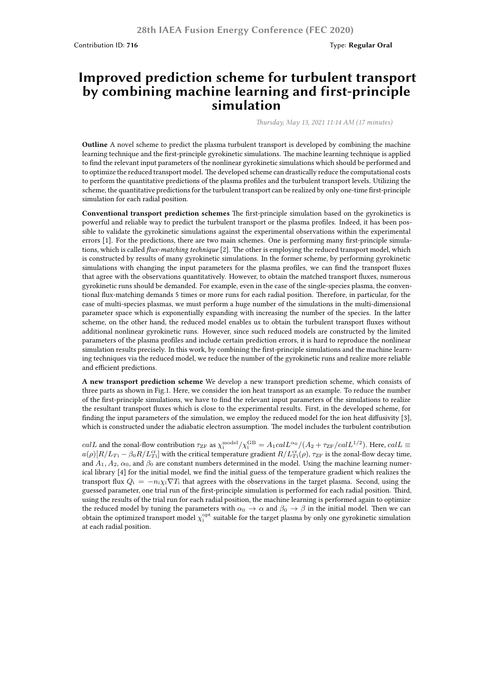Contribution ID: 716 **Type: Regular Oral** 

## **Improved prediction scheme for turbulent transport by combining machine learning and first-principle simulation**

*Thursday, May 13, 2021 11:14 AM (17 minutes)*

**Outline** A novel scheme to predict the plasma turbulent transport is developed by combining the machine learning technique and the first-principle gyrokinetic simulations. The machine learning technique is applied to find the relevant input parameters of the nonlinear gyrokinetic simulations which should be performed and to optimize the reduced transport model. The developed scheme can drastically reduce the computational costs to perform the quantitative predictions of the plasma profiles and the turbulent transport levels. Utilizing the scheme, the quantitative predictions for the turbulent transport can be realized by only one-time first-principle simulation for each radial position.

**Conventional transport prediction schemes** The first-principle simulation based on the gyrokinetics is powerful and reliable way to predict the turbulent transport or the plasma profiles. Indeed, it has been possible to validate the gyrokinetic simulations against the experimental observations within the experimental errors [1]. For the predictions, there are two main schemes. One is performing many first-principle simulations, which is called *flux-matching technique* [2]. The other is employing the reduced transport model, which is constructed by results of many gyrokinetic simulations. In the former scheme, by performing gyrokinetic simulations with changing the input parameters for the plasma profiles, we can find the transport fluxes that agree with the observations quantitatively. However, to obtain the matched transport fluxes, numerous gyrokinetic runs should be demanded. For example, even in the case of the single-species plasma, the conventional flux-matching demands 5 times or more runs for each radial position. Therefore, in particular, for the case of multi-species plasmas, we must perform a huge number of the simulations in the multi-dimensional parameter space which is exponentially expanding with increasing the number of the species. In the latter scheme, on the other hand, the reduced model enables us to obtain the turbulent transport fluxes without additional nonlinear gyrokinetic runs. However, since such reduced models are constructed by the limited parameters of the plasma profiles and include certain prediction errors, it is hard to reproduce the nonlinear simulation results precisely. In this work, by combining the first-principle simulations and the machine learning techniques via the reduced model, we reduce the number of the gyrokinetic runs and realize more reliable and efficient predictions.

**A new transport prediction scheme** We develop a new transport prediction scheme, which consists of three parts as shown in Fig.1. Here, we consider the ion heat transport as an example. To reduce the number of the first-principle simulations, we have to find the relevant input parameters of the simulations to realize the resultant transport fluxes which is close to the experimental results. First, in the developed scheme, for finding the input parameters of the simulation, we employ the reduced model for the ion heat diffusivity [3], which is constructed under the adiabatic electron assumption. The model includes the turbulent contribution

 $calL$  and the zonal-flow contribution  $\tau_{ZF}$  as  $\chi_i^{\text{model}}/\chi_i^{\text{GB}} = A_1 \text{cal} L^{\alpha_0} / (A_2 + \tau_{ZF}/\text{cal} L^{1/2})$ . Here,  $\text{calL} \equiv$  $a(\rho)[R/L_{Ti} - \beta_0 R/L_{Ti}^{\text{cr}}]$  with the critical temperature gradient  $R/L_{Ti}^{\text{cr}}(\rho)$ ,  $\tau_{\text{ZF}}$  is the zonal-flow decay time, and  $A_1, A_2, \alpha_0$ , and  $\beta_0$  are constant numbers determined in the model. Using the machine learning numerical library [4] for the initial model, we find the initial guess of the temperature gradient which realizes the transport flux  $Q_i = -n_i \chi_i \nabla T_i$  that agrees with the observations in the target plasma. Second, using the guessed parameter, one trial run of the first-principle simulation is performed for each radial position. Third, using the results of the trial run for each radial position, the machine learning is performed again to optimize the reduced model by tuning the parameters with  $\alpha_0 \to \alpha$  and  $\beta_0 \to \beta$  in the initial model. Then we can obtain the optimized transport model  $\chi^{\rm opt}_i$  suitable for the target plasma by only one gyrokinetic simulation at each radial position.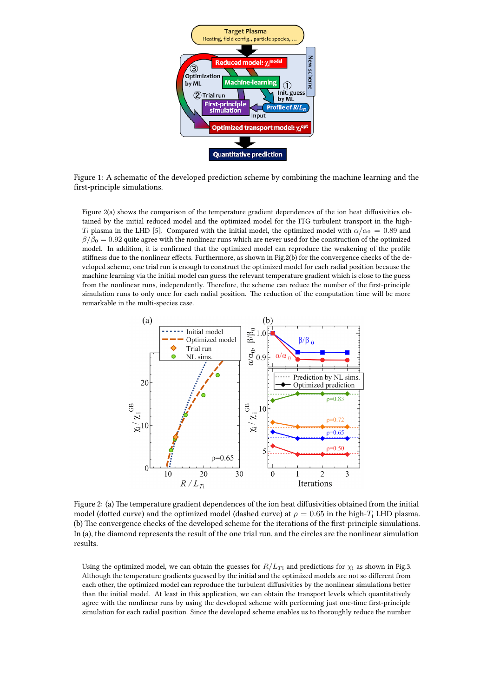

Figure 1: A schematic of the developed prediction scheme by combining the machine learning and the first-principle simulations.

Figure 2(a) shows the comparison of the temperature gradient dependences of the ion heat diffusivities obtained by the initial reduced model and the optimized model for the ITG turbulent transport in the high-*T*<sub>i</sub> plasma in the LHD [5]. Compared with the initial model, the optimized model with  $\alpha/\alpha_0 = 0.89$  and  $\beta/\beta_0 = 0.92$  quite agree with the nonlinear runs which are never used for the construction of the optimized model. In addition, it is confirmed that the optimized model can reproduce the weakening of the profile stiffness due to the nonlinear effects. Furthermore, as shown in Fig.2(b) for the convergence checks of the developed scheme, one trial run is enough to construct the optimized model for each radial position because the machine learning via the initial model can guess the relevant temperature gradient which is close to the guess from the nonlinear runs, independently. Therefore, the scheme can reduce the number of the first-principle simulation runs to only once for each radial position. The reduction of the computation time will be more remarkable in the multi-species case.



Figure 2: (a) The temperature gradient dependences of the ion heat diffusivities obtained from the initial model (dotted curve) and the optimized model (dashed curve) at  $\rho = 0.65$  in the high-*T*<sub>i</sub> LHD plasma. (b) The convergence checks of the developed scheme for the iterations of the first-principle simulations. In (a), the diamond represents the result of the one trial run, and the circles are the nonlinear simulation results.

Using the optimized model, we can obtain the guesses for  $R/L_{Ti}$  and predictions for  $\chi_i$  as shown in Fig.3. Although the temperature gradients guessed by the initial and the optimized models are not so different from each other, the optimized model can reproduce the turbulent diffusivities by the nonlinear simulations better than the initial model. At least in this application, we can obtain the transport levels which quantitatively agree with the nonlinear runs by using the developed scheme with performing just one-time first-principle simulation for each radial position. Since the developed scheme enables us to thoroughly reduce the number